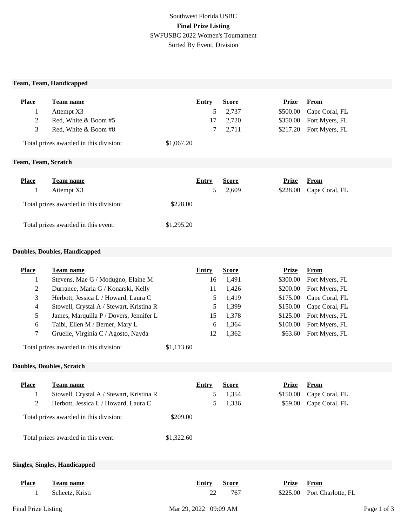## Southwest Florida USBC **Final Prize Listing** SWFUSBC 2022 Women's Tournament Sorted By Event, Division

#### **Team, Team, Handicapped**

| <b>Place</b>                           | <b>Team name</b>     | Entry      | <b>Score</b> | Prize    | <b>From</b>             |
|----------------------------------------|----------------------|------------|--------------|----------|-------------------------|
|                                        | Attempt X3           |            | 2,737        | \$500.00 | Cape Coral, FL          |
| 2                                      | Red, White & Boom #5 | 17         | 2,720        |          | \$350.00 Fort Myers, FL |
| 3                                      | Red, White & Boom #8 |            | 2,711        |          | \$217.20 Fort Myers, FL |
| Total prizes awarded in this division: |                      | \$1,067.20 |              |          |                         |
| Team, Team, Scratch                    |                      |            |              |          |                         |
|                                        |                      |            |              |          |                         |

| <b>Place</b> | Team name                              |            | Entry | <b>Score</b> | Prize    | From           |
|--------------|----------------------------------------|------------|-------|--------------|----------|----------------|
|              | Attempt X3                             |            |       | 2.609        | \$228.00 | Cape Coral, FL |
|              | Total prizes awarded in this division: | \$228.00   |       |              |          |                |
|              | Total prizes awarded in this event:    | \$1,295.20 |       |              |          |                |

### **Doubles, Doubles, Handicapped**

| <b>Place</b>   | Team name                                |            | Entry        | <b>Score</b> | <b>Prize</b> | <b>From</b>        |
|----------------|------------------------------------------|------------|--------------|--------------|--------------|--------------------|
| 1              | Stevens, Mae G / Modugno, Elaine M       |            | 16           | 1,491        | \$300.00     | Fort Myers, FL     |
| 2              | Durrance, Maria G / Konarski, Kelly      |            | 11           | 1,426        | \$200.00     | Fort Myers, FL     |
| 3              | Herbott, Jessica L / Howard, Laura C     |            | 5            | 1,419        | \$175.00     | Cape Coral, FL     |
| $\overline{4}$ | Stowell, Crystal A / Stewart, Kristina R |            | 5            | 1,399        | \$150.00     | Cape Coral, FL     |
| 5              | James, Marquilla P / Dovers, Jennifer L  |            | 15           | 1,378        | \$125.00     | Fort Myers, FL     |
| 6              | Taibi, Ellen M / Berner, Mary L          |            | 6            | 1,364        | \$100.00     | Fort Myers, FL     |
| 7              | Gruelle, Virginia C / Agosto, Nayda      |            | 12           | 1,362        | \$63.60      | Fort Myers, FL     |
|                | Total prizes awarded in this division:   | \$1,113.60 |              |              |              |                    |
|                | <b>Doubles, Doubles, Scratch</b>         |            |              |              |              |                    |
|                |                                          |            |              |              |              |                    |
| <b>Place</b>   | Team name                                |            | <b>Entry</b> | <b>Score</b> | <b>Prize</b> | From               |
| 1              | Stowell, Crystal A / Stewart, Kristina R |            | 5            | 1,354        | \$150.00     | Cape Coral, FL     |
| 2              | Herbott, Jessica L / Howard, Laura C     |            | 5            | 1,336        | \$59.00      | Cape Coral, FL     |
|                | Total prizes awarded in this division:   | \$209.00   |              |              |              |                    |
|                | Total prizes awarded in this event:      | \$1,322.60 |              |              |              |                    |
|                | <b>Singles, Singles, Handicapped</b>     |            |              |              |              |                    |
|                |                                          |            |              |              |              |                    |
| <b>Place</b>   | <b>Team name</b>                         |            | <b>Entry</b> | <b>Score</b> | <b>Prize</b> | From               |
| 1              | Scheetz, Kristi                          |            | 22           | 767          | \$225.00     | Port Charlotte, FL |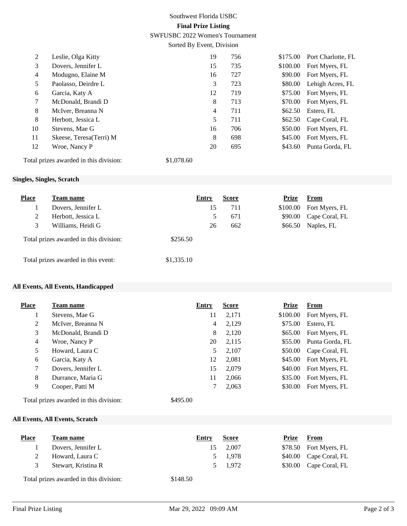# Southwest Florida USBC **Final Prize Listing**

SWFUSBC 2022 Women's Tournament

Sorted By Event, Division

| 2  | Leslie, Olga Kitty       | 19 | 756 | \$175.00 | Port Charlotte, FL |
|----|--------------------------|----|-----|----------|--------------------|
| 3  | Dovers, Jennifer L       | 15 | 735 | \$100.00 | Fort Myers, FL     |
| 4  | Modugno, Elaine M        | 16 | 727 | \$90.00  | Fort Myers, FL     |
| 5  | Paolasso, Deirdre L      | 3  | 723 | \$80.00  | Lehigh Acres, FL   |
| 6  | Garcia, Katy A           | 12 | 719 | \$75.00  | Fort Myers, FL     |
| 7  | McDonald, Brandi D       | 8  | 713 | \$70.00  | Fort Myers, FL     |
| 8  | McIver, Breanna N        | 4  | 711 | \$62.50  | Estero, FL         |
| 8  | Herbott, Jessica L       | 5  | 711 | \$62.50  | Cape Coral, FL     |
| 10 | Stevens, Mae G           | 16 | 706 | \$50.00  | Fort Myers, FL     |
| 11 | Skeese, Teresa (Terri) M | 8  | 698 | \$45.00  | Fort Myers, FL     |
| 12 | Wroe, Nancy P            | 20 | 695 | \$43.60  | Punta Gorda, FL    |
|    |                          |    |     |          |                    |

Total prizes awarded in this division: \$1,078.60

## **Singles, Singles, Scratch**

| <b>Place</b> | <b>Team name</b>                       | Entry      | <b>Score</b> | <b>Prize</b> | From           |
|--------------|----------------------------------------|------------|--------------|--------------|----------------|
|              | Dovers, Jennifer L                     | 15         | 711          | \$100.00     | Fort Myers, FL |
| 2            | Herbott, Jessica L                     |            | 671<br>5.    | \$90.00      | Cape Coral, FL |
| 3            | Williams, Heidi G                      | 26         | 662          | \$66.50      | Naples, FL     |
|              | Total prizes awarded in this division: | \$256.50   |              |              |                |
|              | Total prizes awarded in this event:    | \$1,335.10 |              |              |                |

#### **All Events, All Events, Handicapped**

| Place          | <b>Team name</b>   | <b>Entry</b> | <b>Score</b> | <b>Prize</b> | From            |
|----------------|--------------------|--------------|--------------|--------------|-----------------|
|                | Stevens, Mae G     | 11           | 2,171        | \$100.00     | Fort Myers, FL  |
| $\overline{2}$ | McIver, Breanna N  | 4            | 2,129        | \$75.00      | Estero, FL      |
| 3              | McDonald, Brandi D | 8            | 2,120        | \$65.00      | Fort Myers, FL  |
| 4              | Wroe, Nancy P      | 20           | 2,115        | \$55.00      | Punta Gorda, FL |
| 5              | Howard, Laura C    | 5            | 2,107        | \$50.00      | Cape Coral, FL  |
| 6              | Garcia, Katy A     | 12           | 2,081        | \$45.00      | Fort Myers, FL  |
| 7              | Dovers, Jennifer L | 15           | 2,079        | \$40.00      | Fort Myers, FL  |
| 8              | Durrance, Maria G  | 11           | 2,066        | \$35.00      | Fort Myers, FL  |
| 9              | Cooper, Patti M    |              | 2,063        | \$30.00      | Fort Myers, FL  |
|                | .                  | .            |              |              |                 |

Total prizes awarded in this division: \$495.00

#### **All Events, All Events, Scratch**

| <b>Place</b> | <b>Team name</b>                       | Entry         | <b>Score</b> | Prize | From                   |
|--------------|----------------------------------------|---------------|--------------|-------|------------------------|
|              | Dovers, Jennifer L                     | 15            | 2,007        |       | \$78.50 Fort Myers, FL |
|              | Howard, Laura C                        | $\mathcal{D}$ | 1.978        |       | \$40.00 Cape Coral, FL |
|              | Stewart, Kristina R                    |               | 5 1.972      |       | \$30.00 Cape Coral, FL |
|              | Total prizes awarded in this division: | \$148.50      |              |       |                        |